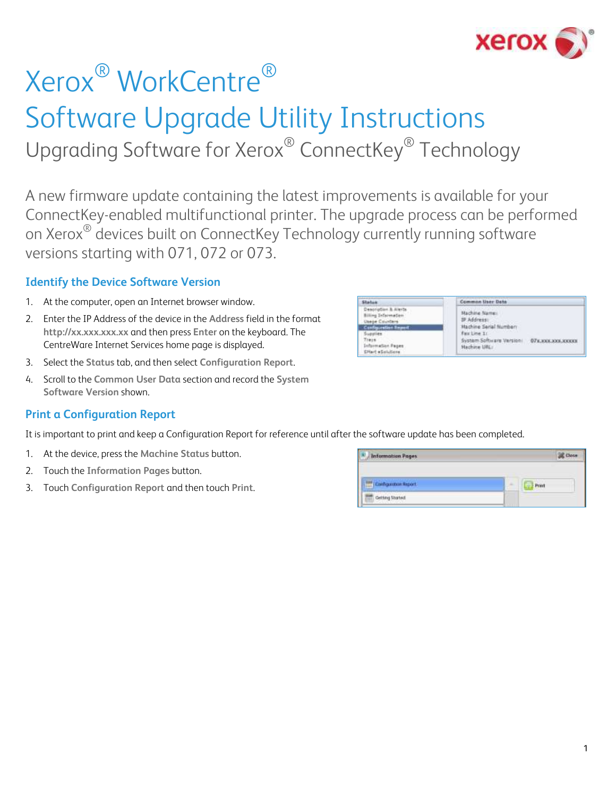

# Xerox® WorkCentre® Software Upgrade Utility Instructions Upgrading Software for Xerox® ConnectKey® Technology

A new firmware update containing the latest improvements is available for your ConnectKey-enabled multifunctional printer. The upgrade process can be performed on Xerox<sup>®</sup> devices built on ConnectKey Technology currently running software versions starting with 071, 072 or 073.

### **Identify the Device Software Version**

- 1. At the computer, open an Internet browser window.
- 2. Enter the IP Address of the device in the **Address** field in the format **http://xx.xxx.xxx.xx** and then press **Enter** on the keyboard. The CentreWare Internet Services home page is displayed.
- 3. Select the **Status** tab, and then select **Configuration Report**.
- 4. Scroll to the **Common User Data** section and record the **System Software Version** shown.

### **Print a Configuration Report**

It is important to print and keep a Configuration Report for reference until after the software update has been completed.

- 1. At the device, press the **Machine Status** button.
- 2. Touch the **Information Pages** button.
- 3. Touch **Configuration Report** and then touch **Print**.

| <b>Information Pages</b><br><b>MANUFACTORY IN</b> |             |
|---------------------------------------------------|-------------|
| Configuration Report                              | <b>Pear</b> |
| Getting Stated                                    |             |

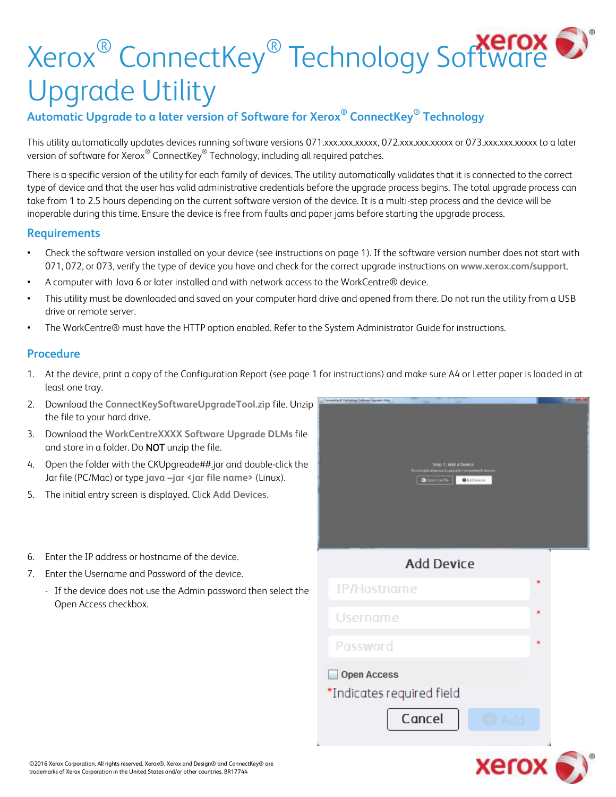# Xerox® ConnectKey® Technology Software Upgrade Utility

## **Automatic Upgrade to a later version of Software for Xerox® ConnectKey® Technology**

This utility automatically updates devices running software versions 071.xxx.xxx.xxxxx, 072.xxx.xxx.xxxxx or 073.xxx.xxx.xxxxx to a later version of software for Xerox $^\circledast$  ConnectKey $^\circledast$  Technology, including all required patches.

There is a specific version of the utility for each family of devices. The utility automatically validates that it is connected to the correct type of device and that the user has valid administrative credentials before the upgrade process begins. The total upgrade process can take from 1 to 2.5 hours depending on the current software version of the device. It is a multi-step process and the device will be inoperable during this time. Ensure the device is free from faults and paper jams before starting the upgrade process.

### **Requirements**

- Check the software version installed on your device (see instructions on page 1). If the software version number does not start with 071, 072, or 073, verify the type of device you have and check for the correct upgrade instructions on **[www.xerox.com/](http://www.xerox.com/)support**.
- A computer with Java 6 or later installed and with network access to the WorkCentre® device.
- This utility must be downloaded and saved on your computer hard drive and opened from there. Do not run the utility from a USB drive or remote server.
- The WorkCentre® must have the HTTP option enabled. Refer to the System Administrator Guide for instructions.

### **Procedure**

- 1. At the device, print a copy of the Configuration Report (see page 1 for instructions) and make sure A4 or Letter paper is loaded in at least one tray.
- 2. Download the **ConnectKeySoftwareUpgradeTool.zip** file. Unzip the file to your hard drive.
- 3. Download the **WorkCentreXXXX Software Upgrade DLMs** file and store in a folder. Do NOT unzip the file.
- 4. Open the folder with the CKUpgreade##.jar and double-click the Jar file (PC/Mac) or type **java –jar <jar file name>** (Linux).
- 5. The initial entry screen is displayed. Click **Add Devices.**
- 6. Enter the IP address or hostname of the device.
- 7. Enter the Username and Password of the device.
	- If the device does not use the Admin password then select the Open Access checkbox.



Cancel